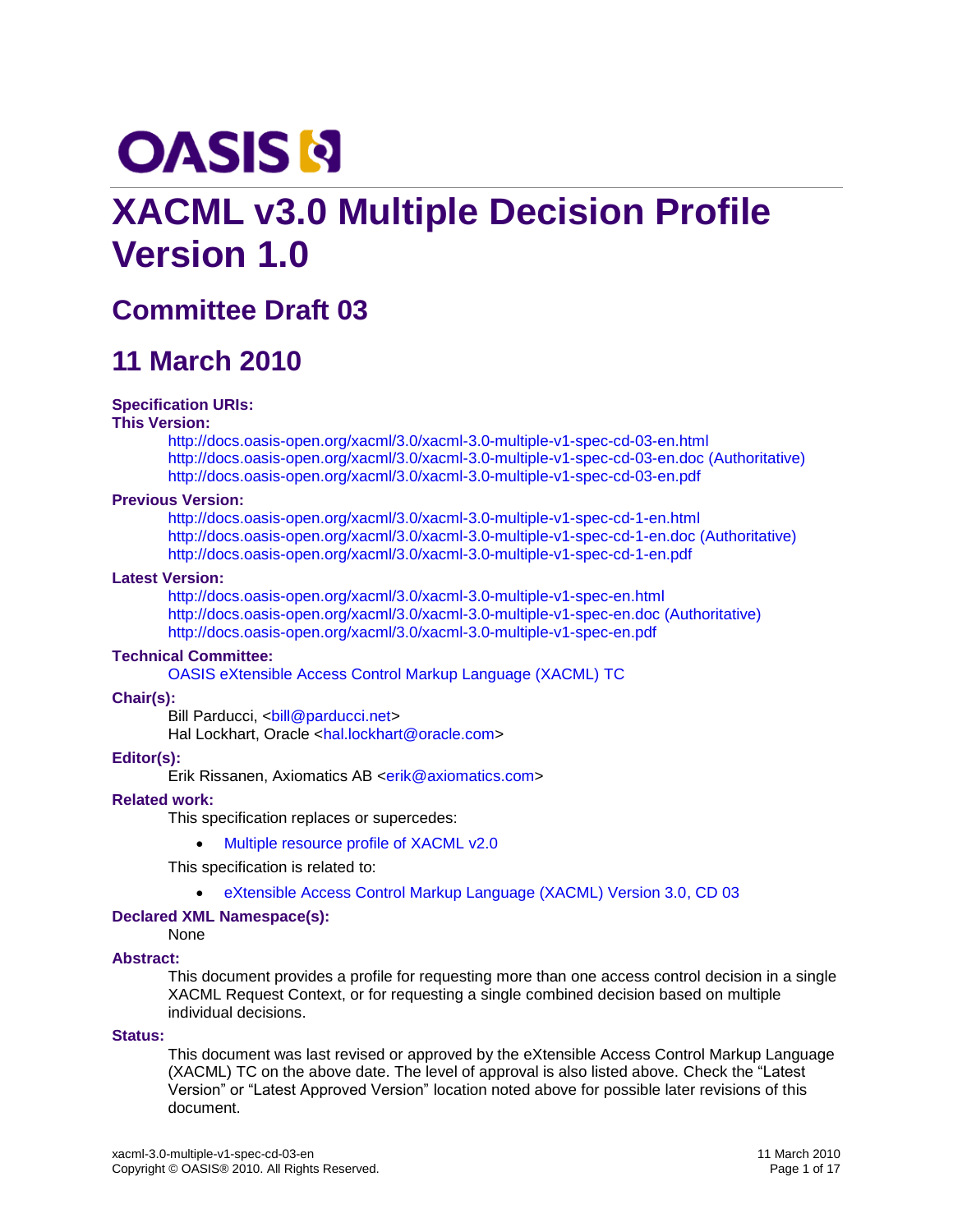# **OASIS N**

# **XACML v3.0 Multiple Decision Profile Version 1.0**

# **Committee Draft 03**

# **11 March 2010**

#### **Specification URIs:**

#### **This Version:**

<http://docs.oasis-open.org/xacml/3.0/xacml-3.0-multiple-v1-spec-cd-03-en.html> <http://docs.oasis-open.org/xacml/3.0/xacml-3.0-multiple-v1-spec-cd-03-en.doc> (Authoritative) <http://docs.oasis-open.org/xacml/3.0/xacml-3.0-multiple-v1-spec-cd-03-en.pdf>

#### **Previous Version:**

<http://docs.oasis-open.org/xacml/3.0/xacml-3.0-multiple-v1-spec-cd-1-en.html> <http://docs.oasis-open.org/xacml/3.0/xacml-3.0-multiple-v1-spec-cd-1-en.doc> (Authoritative) <http://docs.oasis-open.org/xacml/3.0/xacml-3.0-multiple-v1-spec-cd-1-en.pdf>

#### **Latest Version:**

<http://docs.oasis-open.org/xacml/3.0/xacml-3.0-multiple-v1-spec-en.html> <http://docs.oasis-open.org/xacml/3.0/xacml-3.0-multiple-v1-spec-en.doc> (Authoritative) <http://docs.oasis-open.org/xacml/3.0/xacml-3.0-multiple-v1-spec-en.pdf>

#### **Technical Committee:**

[OASIS eXtensible Access Control Markup Language \(XACML\)](http://www.oasis-open.org/committees/tc_home.php?wg_abbrev=xacml) TC

#### **Chair(s):**

Bill Parducci, [<bill@parducci.net>](mailto:bill@parducci.net) Hal Lockhart, Oracle [<hal.lockhart@oracle.com>](mailto:hal.lockhart@oracle.com)

#### **Editor(s):**

Erik Rissanen, Axiomatics AB [<erik@axiomatics.com>](mailto:erik@axiomatics.com)

#### **Related work:**

This specification replaces or supercedes:

• [Multiple resource profile of XACML v2.0](http://docs.oasis-open.org/xacml/2.0/access_control-xacml-2.0-mult-profile-spec-os.pdf)

This specification is related to:

#### [eXtensible Access Control Markup Language \(XACML\) Version 3.0, CD 03](http://docs.oasis-open.org/xacml/3.0/xacml-3.0-core-spec-cd-03-en.doc)

#### **Declared XML Namespace(s):**

#### None

#### **Abstract:**

This document provides a profile for requesting more than one access control decision in a single XACML Request Context, or for requesting a single combined decision based on multiple individual decisions.

#### **Status:**

This document was last revised or approved by the eXtensible Access Control Markup Language (XACML) TC on the above date. The level of approval is also listed above. Check the "Latest Version" or "Latest Approved Version" location noted above for possible later revisions of this document.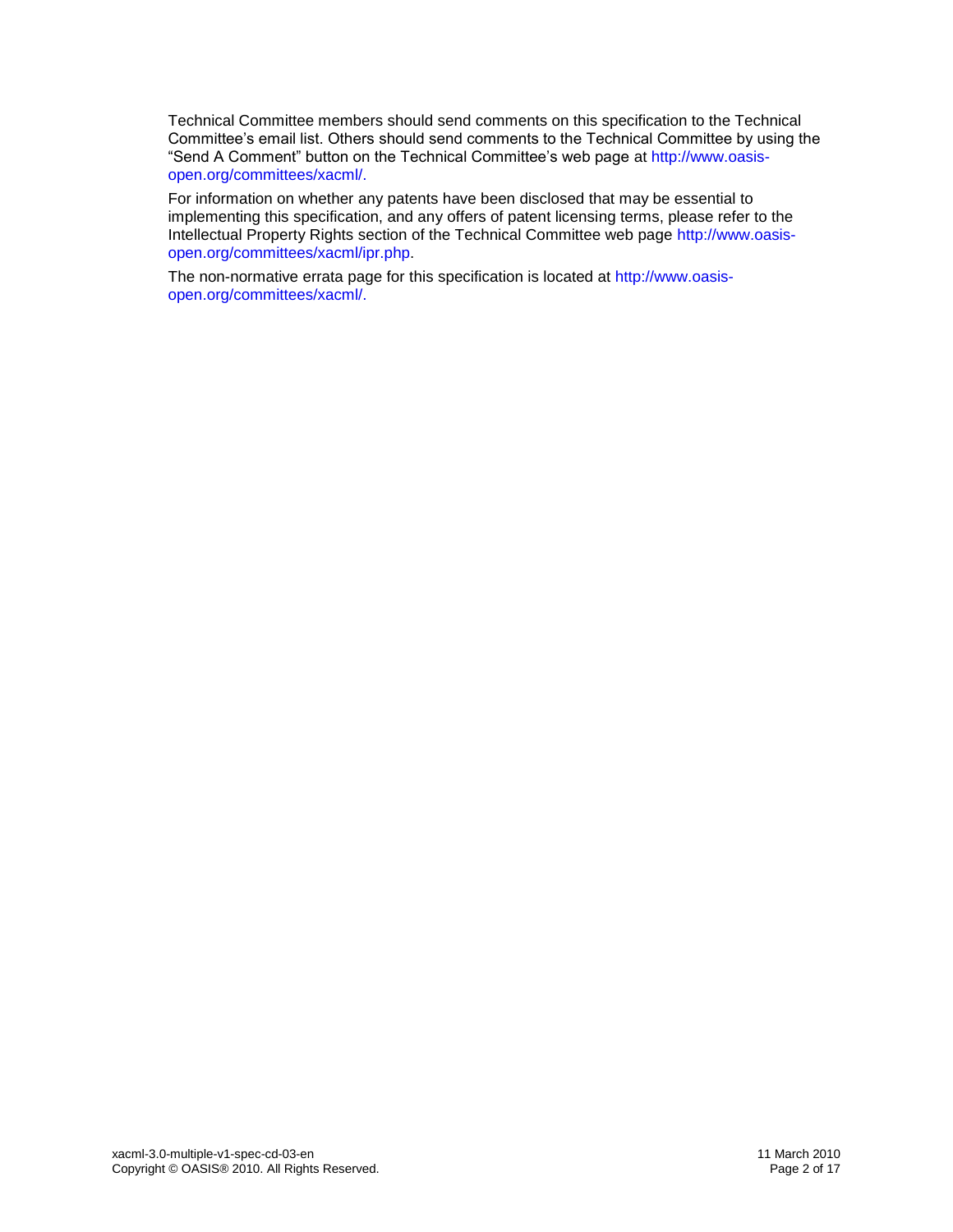Technical Committee members should send comments on this specification to the Technical Committee's email list. Others should send comments to the Technical Committee by using the "Send A Comment" button on the Technical Committee's web page at [http://www.oasis](http://www.oasis-open.org/committees/xacml/)[open.org/committees/xacml/.](http://www.oasis-open.org/committees/xacml/)

For information on whether any patents have been disclosed that may be essential to implementing this specification, and any offers of patent licensing terms, please refer to the Intellectual Property Rights section of the Technical Committee web page [http://www.oasis](http://www.oasis-open.org/committees/xacml/ipr.php)[open.org/committees/xacml/ipr.php.](http://www.oasis-open.org/committees/xacml/ipr.php)

The non-normative errata page for this specification is located at [http://www.oasis](http://www.oasis-open.org/committees/xacml/)[open.org/committees/xacml/.](http://www.oasis-open.org/committees/xacml/)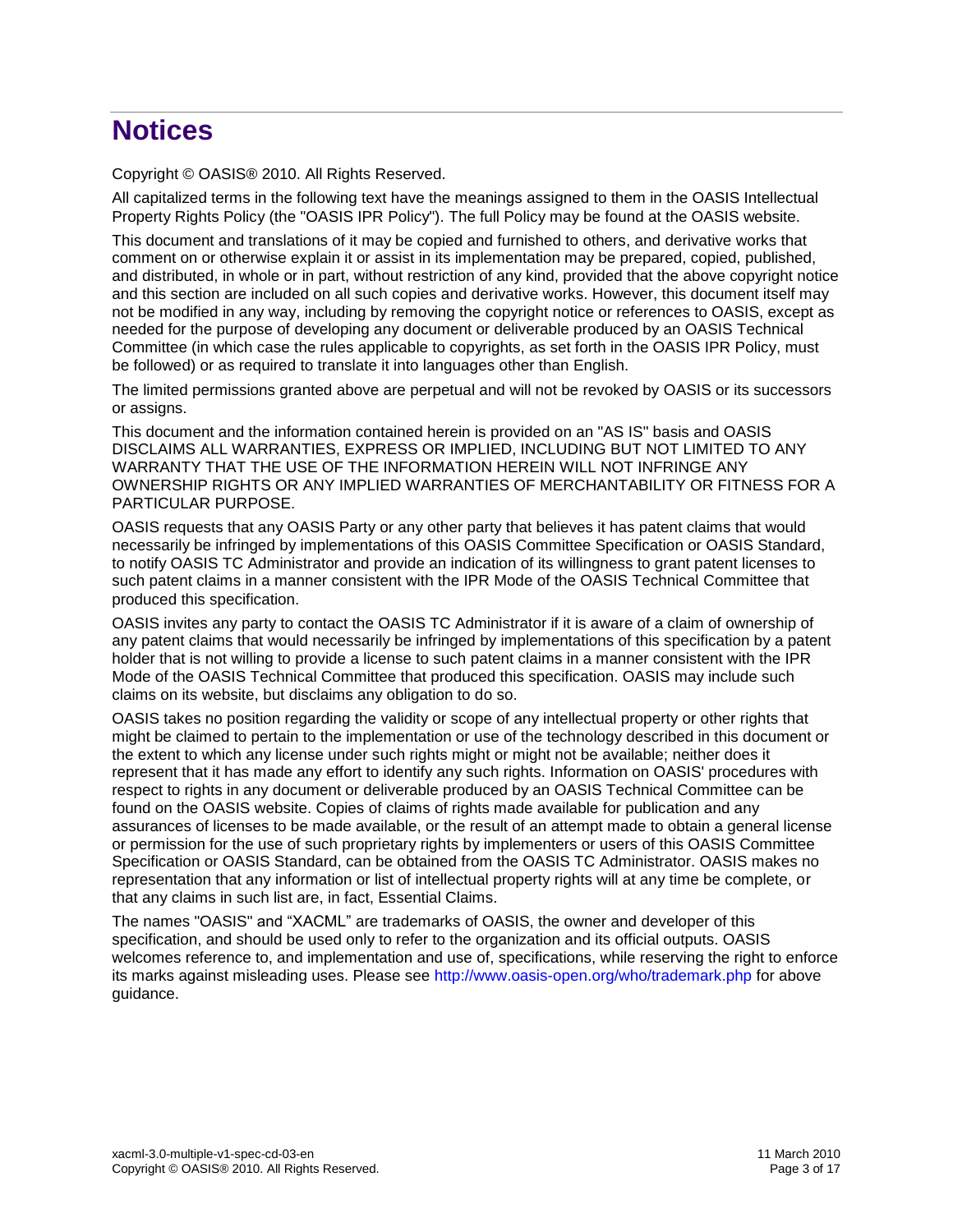# **Notices**

Copyright © OASIS® 2010. All Rights Reserved.

All capitalized terms in the following text have the meanings assigned to them in the OASIS Intellectual Property Rights Policy (the "OASIS IPR Policy"). The full Policy may be found at the OASIS website.

This document and translations of it may be copied and furnished to others, and derivative works that comment on or otherwise explain it or assist in its implementation may be prepared, copied, published, and distributed, in whole or in part, without restriction of any kind, provided that the above copyright notice and this section are included on all such copies and derivative works. However, this document itself may not be modified in any way, including by removing the copyright notice or references to OASIS, except as needed for the purpose of developing any document or deliverable produced by an OASIS Technical Committee (in which case the rules applicable to copyrights, as set forth in the OASIS IPR Policy, must be followed) or as required to translate it into languages other than English.

The limited permissions granted above are perpetual and will not be revoked by OASIS or its successors or assigns.

This document and the information contained herein is provided on an "AS IS" basis and OASIS DISCLAIMS ALL WARRANTIES, EXPRESS OR IMPLIED, INCLUDING BUT NOT LIMITED TO ANY WARRANTY THAT THE USE OF THE INFORMATION HEREIN WILL NOT INFRINGE ANY OWNERSHIP RIGHTS OR ANY IMPLIED WARRANTIES OF MERCHANTABILITY OR FITNESS FOR A PARTICULAR PURPOSE.

OASIS requests that any OASIS Party or any other party that believes it has patent claims that would necessarily be infringed by implementations of this OASIS Committee Specification or OASIS Standard, to notify OASIS TC Administrator and provide an indication of its willingness to grant patent licenses to such patent claims in a manner consistent with the IPR Mode of the OASIS Technical Committee that produced this specification.

OASIS invites any party to contact the OASIS TC Administrator if it is aware of a claim of ownership of any patent claims that would necessarily be infringed by implementations of this specification by a patent holder that is not willing to provide a license to such patent claims in a manner consistent with the IPR Mode of the OASIS Technical Committee that produced this specification. OASIS may include such claims on its website, but disclaims any obligation to do so.

OASIS takes no position regarding the validity or scope of any intellectual property or other rights that might be claimed to pertain to the implementation or use of the technology described in this document or the extent to which any license under such rights might or might not be available; neither does it represent that it has made any effort to identify any such rights. Information on OASIS' procedures with respect to rights in any document or deliverable produced by an OASIS Technical Committee can be found on the OASIS website. Copies of claims of rights made available for publication and any assurances of licenses to be made available, or the result of an attempt made to obtain a general license or permission for the use of such proprietary rights by implementers or users of this OASIS Committee Specification or OASIS Standard, can be obtained from the OASIS TC Administrator. OASIS makes no representation that any information or list of intellectual property rights will at any time be complete, or that any claims in such list are, in fact, Essential Claims.

The names "OASIS" and "XACML" are trademarks of OASIS, the owner and developer of this specification, and should be used only to refer to the organization and its official outputs. OASIS welcomes reference to, and implementation and use of, specifications, while reserving the right to enforce its marks against misleading uses. Please see<http://www.oasis-open.org/who/trademark.php> for above guidance.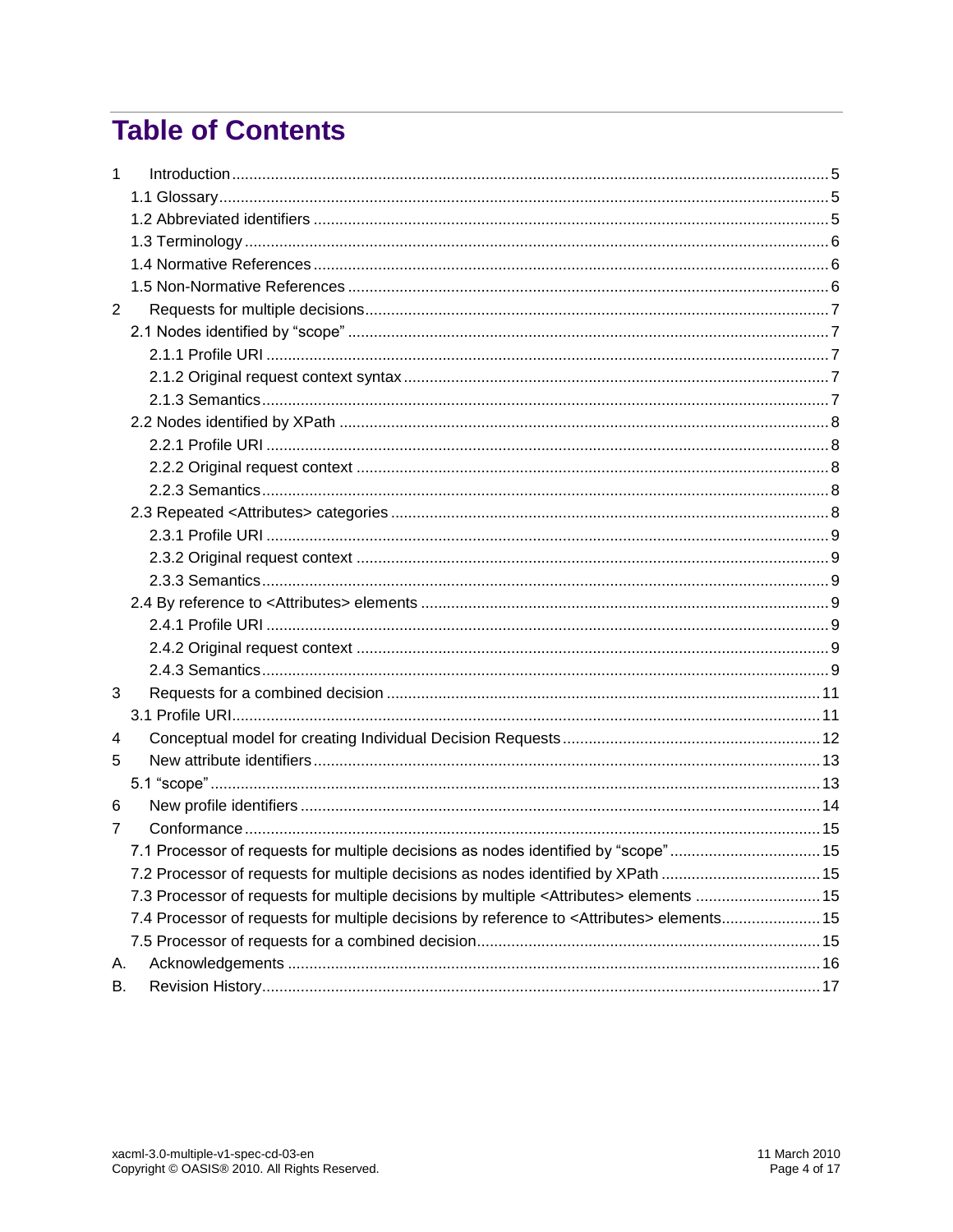# **Table of Contents**

| А. |                                                                                                                                                                                                                                                                                                                                                                                         |
|----|-----------------------------------------------------------------------------------------------------------------------------------------------------------------------------------------------------------------------------------------------------------------------------------------------------------------------------------------------------------------------------------------|
| В. |                                                                                                                                                                                                                                                                                                                                                                                         |
|    | 7.1 Processor of requests for multiple decisions as nodes identified by "scope"15<br>7.2 Processor of requests for multiple decisions as nodes identified by XPath 15<br>7.3 Processor of requests for multiple decisions by multiple <attributes> elements  15<br/>7.4 Processor of requests for multiple decisions by reference to <attributes> elements 15</attributes></attributes> |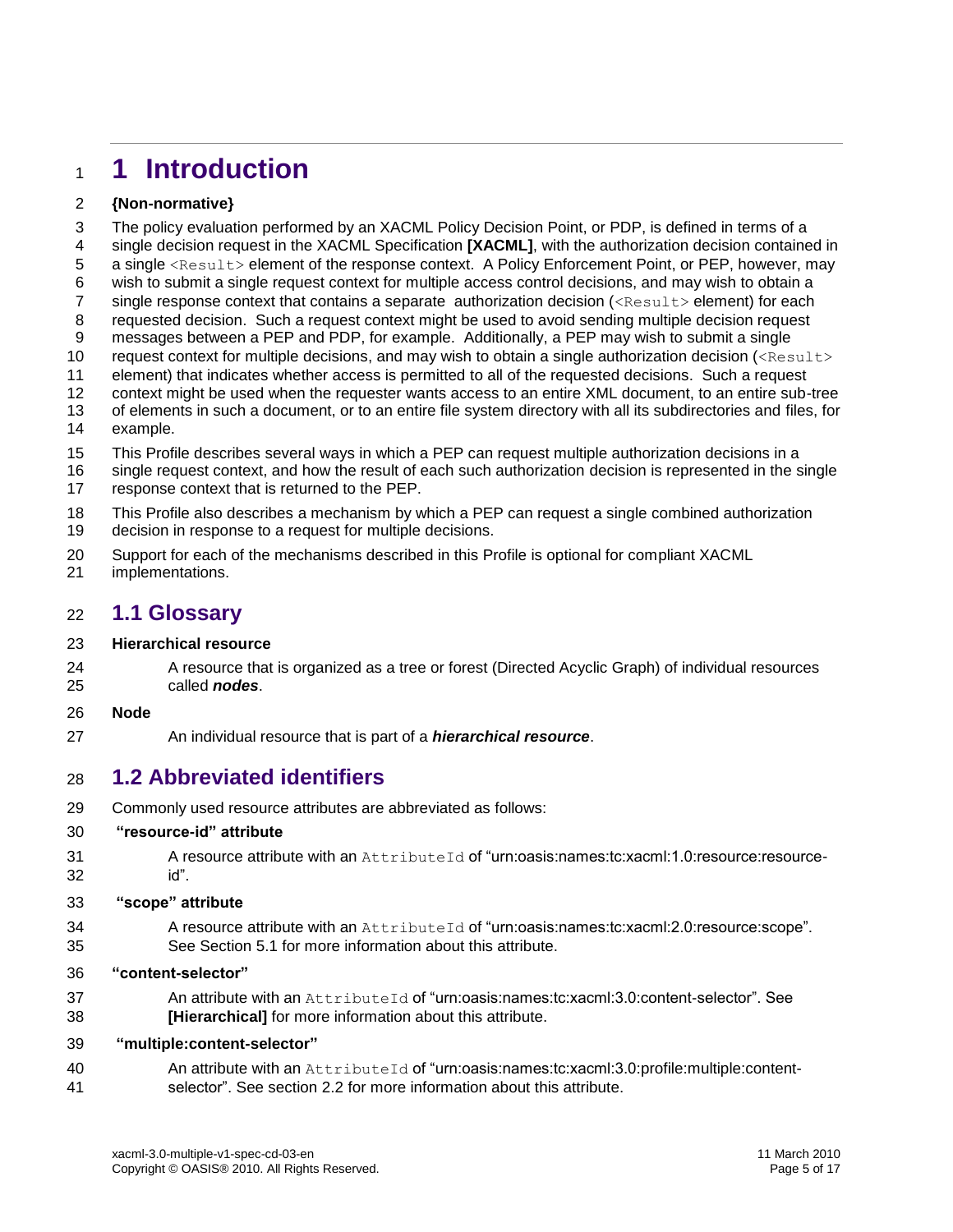# <span id="page-4-0"></span>**1 Introduction**

#### **{Non-normative}**

 The policy evaluation performed by an XACML Policy Decision Point, or PDP, is defined in terms of a single decision request in the XACML Specification **[\[XACML\]](#page-5-3)**, with the authorization decision contained in 5 a single <Result> element of the response context. A Policy Enforcement Point, or PEP, however, may wish to submit a single request context for multiple access control decisions, and may wish to obtain a 7 single response context that contains a separate authorization decision (<Result> element) for each requested decision. Such a request context might be used to avoid sending multiple decision request messages between a PEP and PDP, for example. Additionally, a PEP may wish to submit a single 10 request context for multiple decisions, and may wish to obtain a single authorization decision  $\langle\langle\text{Result}\rangle\rangle$  element) that indicates whether access is permitted to all of the requested decisions. Such a request context might be used when the requester wants access to an entire XML document, to an entire sub-tree of elements in such a document, or to an entire file system directory with all its subdirectories and files, for example. This Profile describes several ways in which a PEP can request multiple authorization decisions in a

- single request context, and how the result of each such authorization decision is represented in the single
- response context that is returned to the PEP.
- This Profile also describes a mechanism by which a PEP can request a single combined authorization decision in response to a request for multiple decisions.
- Support for each of the mechanisms described in this Profile is optional for compliant XACML
- implementations.

#### <span id="page-4-1"></span>**1.1 Glossary**

#### **Hierarchical resource**

24 A resource that is organized as a tree or forest (Directed Acyclic Graph) of individual resources called *nodes*.

#### **Node**

An individual resource that is part of a *hierarchical resource*.

# <span id="page-4-2"></span>**1.2 Abbreviated identifiers**

Commonly used resource attributes are abbreviated as follows:

#### **"resource-id" attribute**

31 A resource attribute with an AttributeId of "urn:oasis:names:tc:xacml:1.0:resource:resource-id".

#### **"scope" attribute**

 A resource attribute with an AttributeId of "urn:oasis:names:tc:xacml:2.0:resource:scope". See Section [5.1](#page-12-1) for more information about this attribute.

#### **"content-selector"**

37 An attribute with an AttributeId of "urn:oasis:names:tc:xacml:3.0:content-selector". See **[\[Hierarchical\]](#page-5-4)** for more information about this attribute.

#### **"multiple:content-selector"**

 An attribute with an AttributeId of "urn:oasis:names:tc:xacml:3.0:profile:multiple:content-selector". See section [2.2](#page-7-0) for more information about this attribute.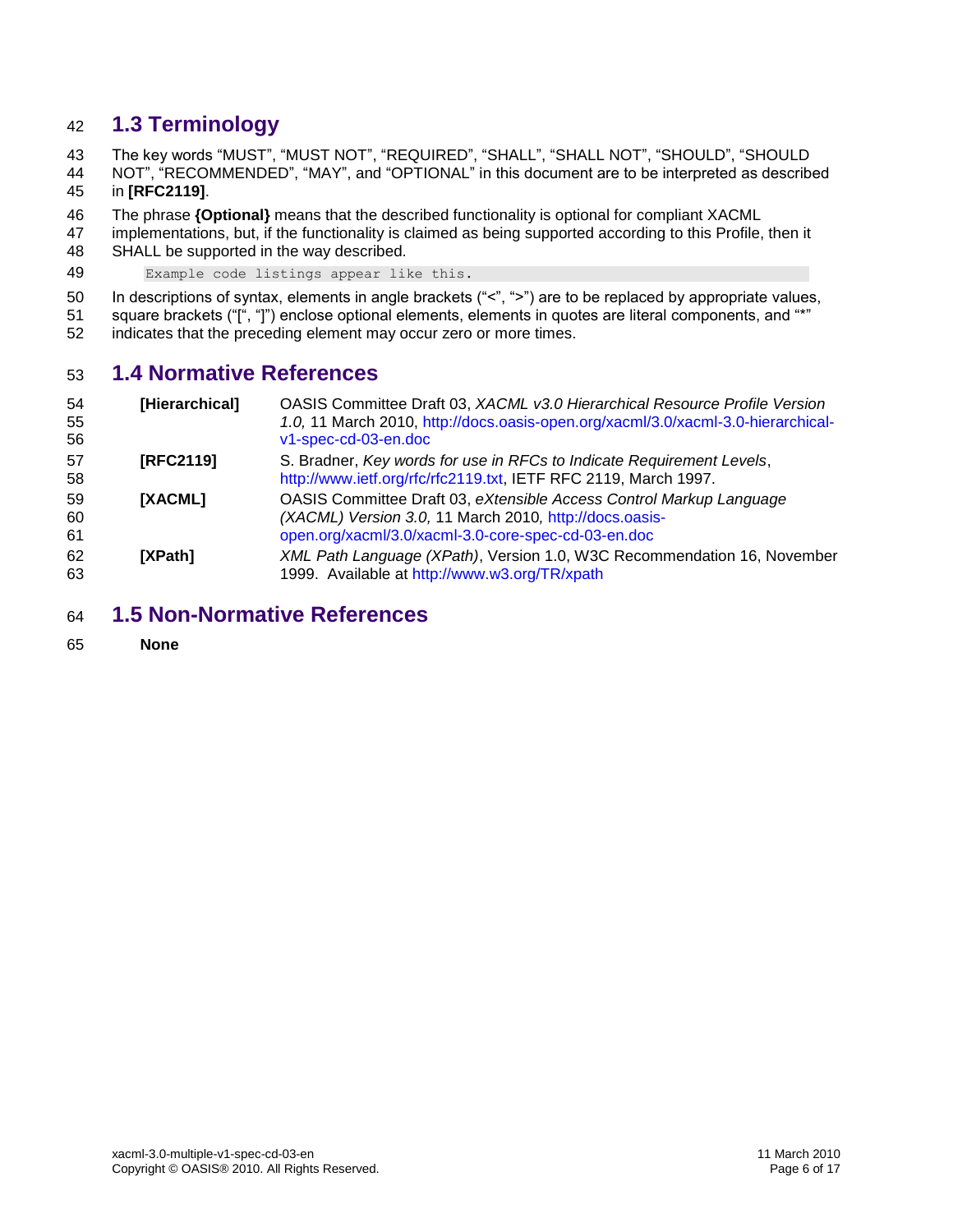# <span id="page-5-0"></span>**1.3 Terminology**

The key words "MUST", "MUST NOT", "REQUIRED", "SHALL", "SHALL NOT", "SHOULD", "SHOULD

 NOT", "RECOMMENDED", "MAY", and "OPTIONAL" in this document are to be interpreted as described in **[\[RFC2119\]](#page-5-5)**.

The phrase **{Optional}** means that the described functionality is optional for compliant XACML

 implementations, but, if the functionality is claimed as being supported according to this Profile, then it SHALL be supported in the way described.

Example code listings appear like this.

In descriptions of syntax, elements in angle brackets ("<", ">") are to be replaced by appropriate values,

51 square brackets ("[", "]") enclose optional elements, elements in quotes are literal components, and "\*"

indicates that the preceding element may occur zero or more times.

### <span id="page-5-1"></span>**1.4 Normative References**

<span id="page-5-5"></span><span id="page-5-4"></span><span id="page-5-3"></span>

| 54<br>55<br>56 | [Hierarchical] | OASIS Committee Draft 03, XACML v3.0 Hierarchical Resource Profile Version<br>1.0, 11 March 2010, http://docs.oasis-open.org/xacml/3.0/xacml-3.0-hierarchical-<br>v1-spec-cd-03-en.doc |
|----------------|----------------|----------------------------------------------------------------------------------------------------------------------------------------------------------------------------------------|
| 57<br>58       | [RFC2119]      | S. Bradner, Key words for use in RFCs to Indicate Requirement Levels,<br>http://www.ietf.org/rfc/rfc2119.txt, IETF RFC 2119, March 1997.                                               |
| 59<br>60<br>61 | <b>IXACML1</b> | OASIS Committee Draft 03, eXtensible Access Control Markup Language<br>(XACML) Version 3.0, 11 March 2010, http://docs.oasis-<br>open.org/xacml/3.0/xacml-3.0-core-spec-cd-03-en.doc   |
| 62<br>63       | <b>IXPath1</b> | XML Path Language (XPath), Version 1.0, W3C Recommendation 16, November<br>1999. Available at http://www.w3.org/TR/xpath                                                               |

#### <span id="page-5-6"></span><span id="page-5-2"></span>**1.5 Non-Normative References**

**None**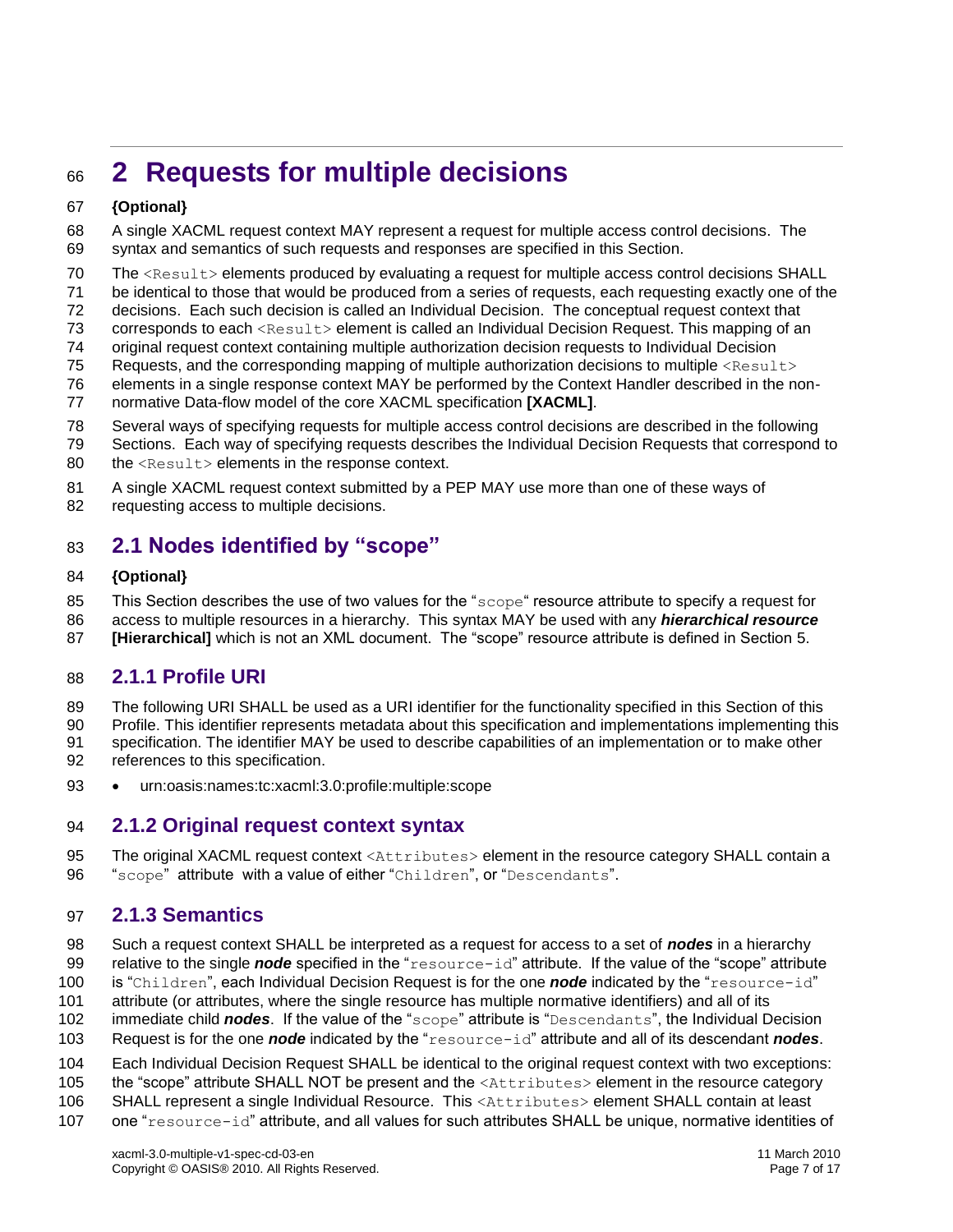# <span id="page-6-0"></span>**2 Requests for multiple decisions**

#### **{Optional}**

 A single XACML request context MAY represent a request for multiple access control decisions. The syntax and semantics of such requests and responses are specified in this Section.

- 70 The <Result> elements produced by evaluating a request for multiple access control decisions SHALL
- be identical to those that would be produced from a series of requests, each requesting exactly one of the
- decisions. Each such decision is called an Individual Decision. The conceptual request context that
- corresponds to each <Result> element is called an Individual Decision Request. This mapping of an
- original request context containing multiple authorization decision requests to Individual Decision
- 75 Requests, and the corresponding mapping of multiple authorization decisions to multiple <Result>
- elements in a single response context MAY be performed by the Context Handler described in the non-
- normative Data-flow model of the core XACML specification **[\[XACML\]](#page-5-3)**.
- Several ways of specifying requests for multiple access control decisions are described in the following
- Sections. Each way of specifying requests describes the Individual Decision Requests that correspond to 80 the <Result> elements in the response context.
- A single XACML request context submitted by a PEP MAY use more than one of these ways of 82 requesting access to multiple decisions.

# <span id="page-6-1"></span>**2.1 Nodes identified by "scope"**

#### **{Optional}**

85 This Section describes the use of two values for the "scope" resource attribute to specify a request for

- access to multiple resources in a hierarchy. This syntax MAY be used with any *hierarchical resource*
- **[\[Hierarchical\]](#page-5-4)** which is not an XML document. The "scope" resource attribute is defined in Section [5.](#page-12-0)

### <span id="page-6-2"></span>**2.1.1 Profile URI**

- 89 The following URI SHALL be used as a URI identifier for the functionality specified in this Section of this
- Profile. This identifier represents metadata about this specification and implementations implementing this
- specification. The identifier MAY be used to describe capabilities of an implementation or to make other references to this specification.
- 
- urn:oasis:names:tc:xacml:3.0:profile:multiple:scope

#### <span id="page-6-3"></span>**2.1.2 Original request context syntax**

95 The original XACML request context <Attributes> element in the resource category SHALL contain a 96 "scope" attribute with a value of either "Children", or "Descendants".

### <span id="page-6-4"></span>**2.1.3 Semantics**

- Such a request context SHALL be interpreted as a request for access to a set of *nodes* in a hierarchy
- relative to the single *node* specified in the "resource-id" attribute. If the value of the "scope" attribute
- is "Children", each Individual Decision Request is for the one *node* indicated by the "resource-id"
- attribute (or attributes, where the single resource has multiple normative identifiers) and all of its
- immediate child *nodes*. If the value of the "scope" attribute is "Descendants", the Individual Decision
- Request is for the one *node* indicated by the "resource-id" attribute and all of its descendant *nodes*.
- Each Individual Decision Request SHALL be identical to the original request context with two exceptions:
- 105 the "scope" attribute SHALL NOT be present and the <Attributes> element in the resource category
- 106 SHALL represent a single Individual Resource. This <Attributes> element SHALL contain at least
- one "resource-id" attribute, and all values for such attributes SHALL be unique, normative identities of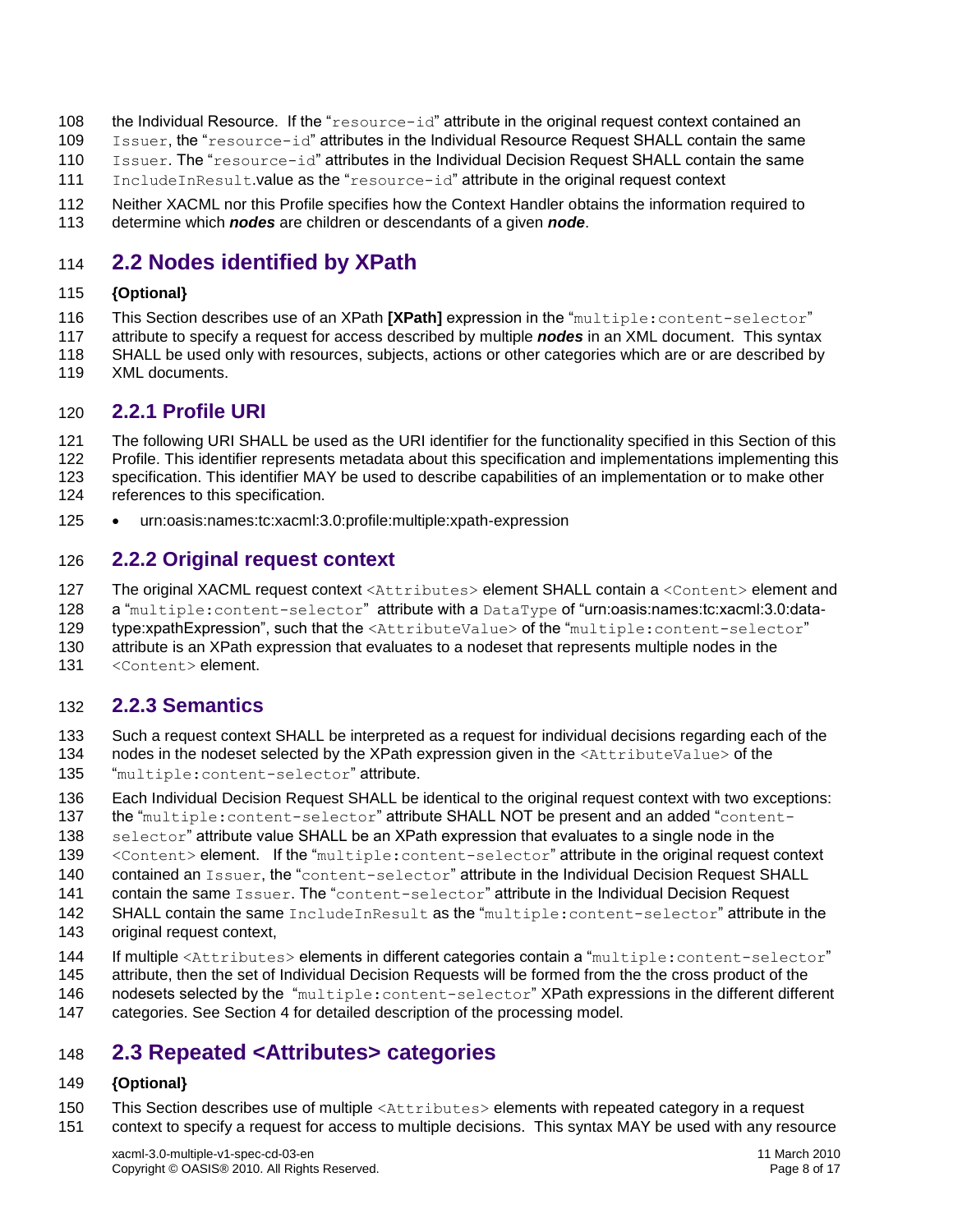- 108 the Individual Resource. If the "resource-id" attribute in the original request context contained an
- Issuer, the "resource-id" attributes in the Individual Resource Request SHALL contain the same
- Issuer. The "resource-id" attributes in the Individual Decision Request SHALL contain the same
- IncludeInResult.value as the "resource-id" attribute in the original request context
- Neither XACML nor this Profile specifies how the Context Handler obtains the information required to determine which *nodes* are children or descendants of a given *node*.

# <span id="page-7-0"></span>**2.2 Nodes identified by XPath**

#### **{Optional}**

- This Section describes use of an XPath **[\[XPath\]](#page-5-6)** expression in the "multiple:content-selector"
- attribute to specify a request for access described by multiple *nodes* in an XML document. This syntax SHALL be used only with resources, subjects, actions or other categories which are or are described by
- XML documents.

### <span id="page-7-1"></span>**2.2.1 Profile URI**

- The following URI SHALL be used as the URI identifier for the functionality specified in this Section of this Profile. This identifier represents metadata about this specification and implementations implementing this specification. This identifier MAY be used to describe capabilities of an implementation or to make other references to this specification.
- 125 urn:oasis:names:tc:xacml:3.0:profile:multiple:xpath-expression

#### <span id="page-7-2"></span>**2.2.2 Original request context**

- 127 The original XACML request context <Attributes> element SHALL contain a <Content> element and
- 128 a "multiple:content-selector" attribute with a DataType of "urn:oasis:names:tc:xacml:3.0:data-
- type:xpathExpression", such that the <AttributeValue> of the "multiple:content-selector"
- attribute is an XPath expression that evaluates to a nodeset that represents multiple nodes in the
- 131 < Content> element.

### <span id="page-7-3"></span>**2.2.3 Semantics**

- Such a request context SHALL be interpreted as a request for individual decisions regarding each of the
- 134 nodes in the nodeset selected by the XPath expression given in the <AttributeValue> of the "multiple:content-selector" attribute.
- 
- Each Individual Decision Request SHALL be identical to the original request context with two exceptions:
- 137 the "multiple: content-selector" attribute SHALL NOT be present and an added "content-
- 138 selector" attribute value SHALL be an XPath expression that evaluates to a single node in the
- 139 < Content> element. If the "multiple: content-selector" attribute in the original request context
- 140 contained an Issuer, the "content-selector" attribute in the Individual Decision Request SHALL
- 141 contain the same Issuer. The "content-selector" attribute in the Individual Decision Request
- 142 SHALL contain the same IncludeInResult as the "multiple: content-selector" attribute in the
- original request context,
- 144 If multiple <Attributes> elements in different categories contain a "multiple: content-selector"
- attribute, then the set of Individual Decision Requests will be formed from the the cross product of the
- 146 nodesets selected by the "multiple: content-selector" XPath expressions in the different different
- categories. See Section [4](#page-11-0) for detailed description of the processing model.

# <span id="page-7-4"></span>**2.3 Repeated <Attributes> categories**

### **{Optional}**

- This Section describes use of multiple <Attributes> elements with repeated category in a request
- context to specify a request for access to multiple decisions. This syntax MAY be used with any resource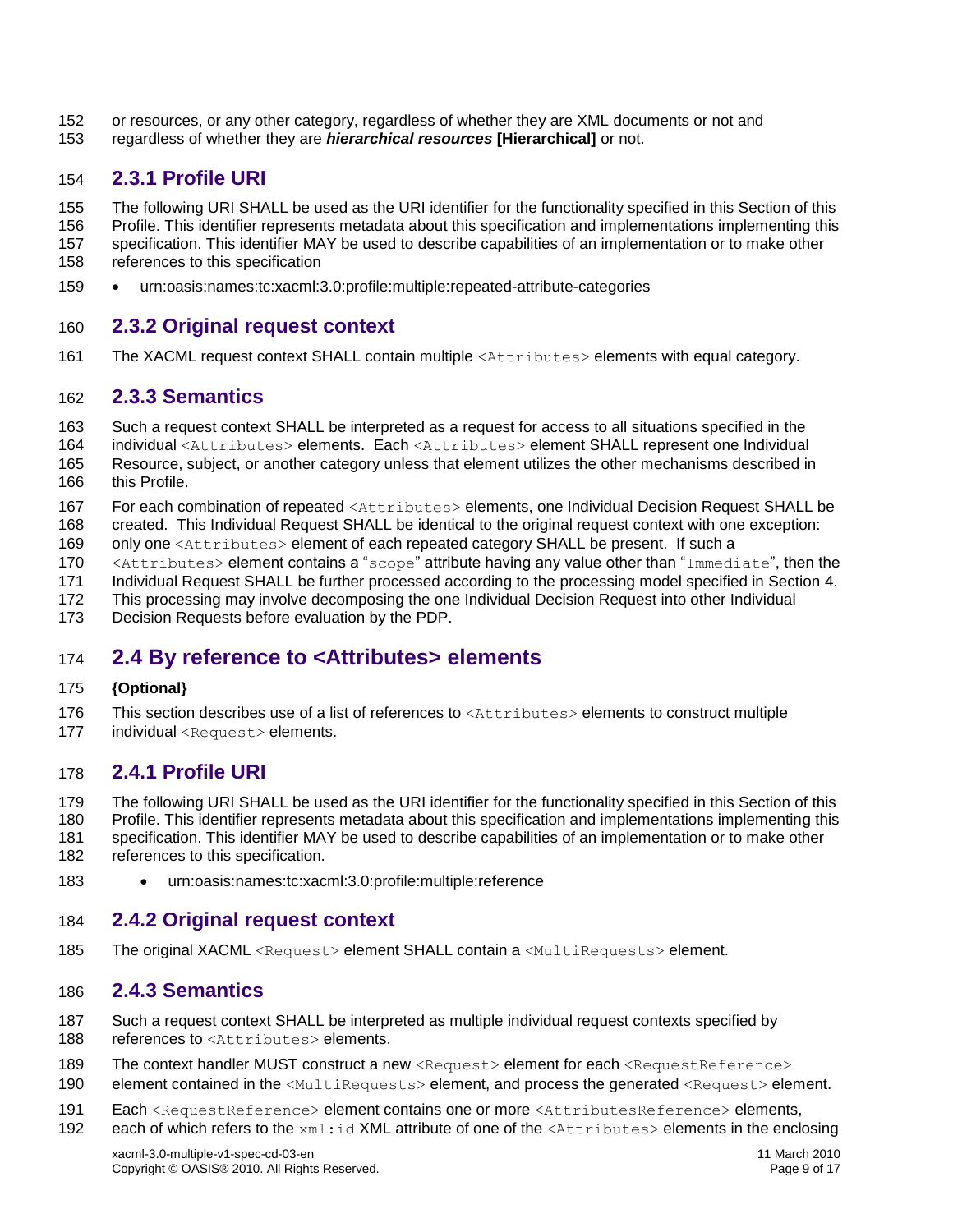- or resources, or any other category, regardless of whether they are XML documents or not and
- regardless of whether they are *hierarchical resources* **[\[Hierarchical\]](#page-5-4)** or not.

# <span id="page-8-0"></span>**2.3.1 Profile URI**

- The following URI SHALL be used as the URI identifier for the functionality specified in this Section of this
- Profile. This identifier represents metadata about this specification and implementations implementing this
- specification. This identifier MAY be used to describe capabilities of an implementation or to make other
- references to this specification
- urn:oasis:names:tc:xacml:3.0:profile:multiple:repeated-attribute-categories

## <span id="page-8-1"></span>**2.3.2 Original request context**

The XACML request context SHALL contain multiple <Attributes> elements with equal category.

### <span id="page-8-2"></span>**2.3.3 Semantics**

- Such a request context SHALL be interpreted as a request for access to all situations specified in the
- individual <Attributes> elements. Each <Attributes> element SHALL represent one Individual
- Resource, subject, or another category unless that element utilizes the other mechanisms described in 166 this Profile.
- For each combination of repeated <Attributes> elements, one Individual Decision Request SHALL be
- created. This Individual Request SHALL be identical to the original request context with one exception:
- 169 only one <Attributes> element of each repeated category SHALL be present. If such a
- 170 <Attributes> element contains a "scope" attribute having any value other than "Immediate", then the
- Individual Request SHALL be further processed according to the processing model specified in Section [4.](#page-11-0)
- This processing may involve decomposing the one Individual Decision Request into other Individual
- Decision Requests before evaluation by the PDP.

# <span id="page-8-3"></span>**2.4 By reference to <Attributes> elements**

#### **{Optional}**

- 176 This section describes use of a list of references to <Attributes> elements to construct multiple
- 177 individual <Request> elements.

### <span id="page-8-4"></span>**2.4.1 Profile URI**

- The following URI SHALL be used as the URI identifier for the functionality specified in this Section of this
- Profile. This identifier represents metadata about this specification and implementations implementing this
- specification. This identifier MAY be used to describe capabilities of an implementation or to make other references to this specification.
- urn:oasis:names:tc:xacml:3.0:profile:multiple:reference

### <span id="page-8-5"></span>**2.4.2 Original request context**

185 The original XACML <Request> element SHALL contain a <MultiRequests> element.

### <span id="page-8-6"></span>**2.4.3 Semantics**

- Such a request context SHALL be interpreted as multiple individual request contexts specified by
- 188 references to <Attributes> elements.
- 189 The context handler MUST construct a new <Request> element for each <RequestReference>
- 190 element contained in the <MultiRequests> element, and process the generated <Request> element.
- 191 Each <RequestReference> element contains one or more <AttributesReference> elements,
- 192 each of which refers to the xml:id XML attribute of one of the <Attributes> elements in the enclosing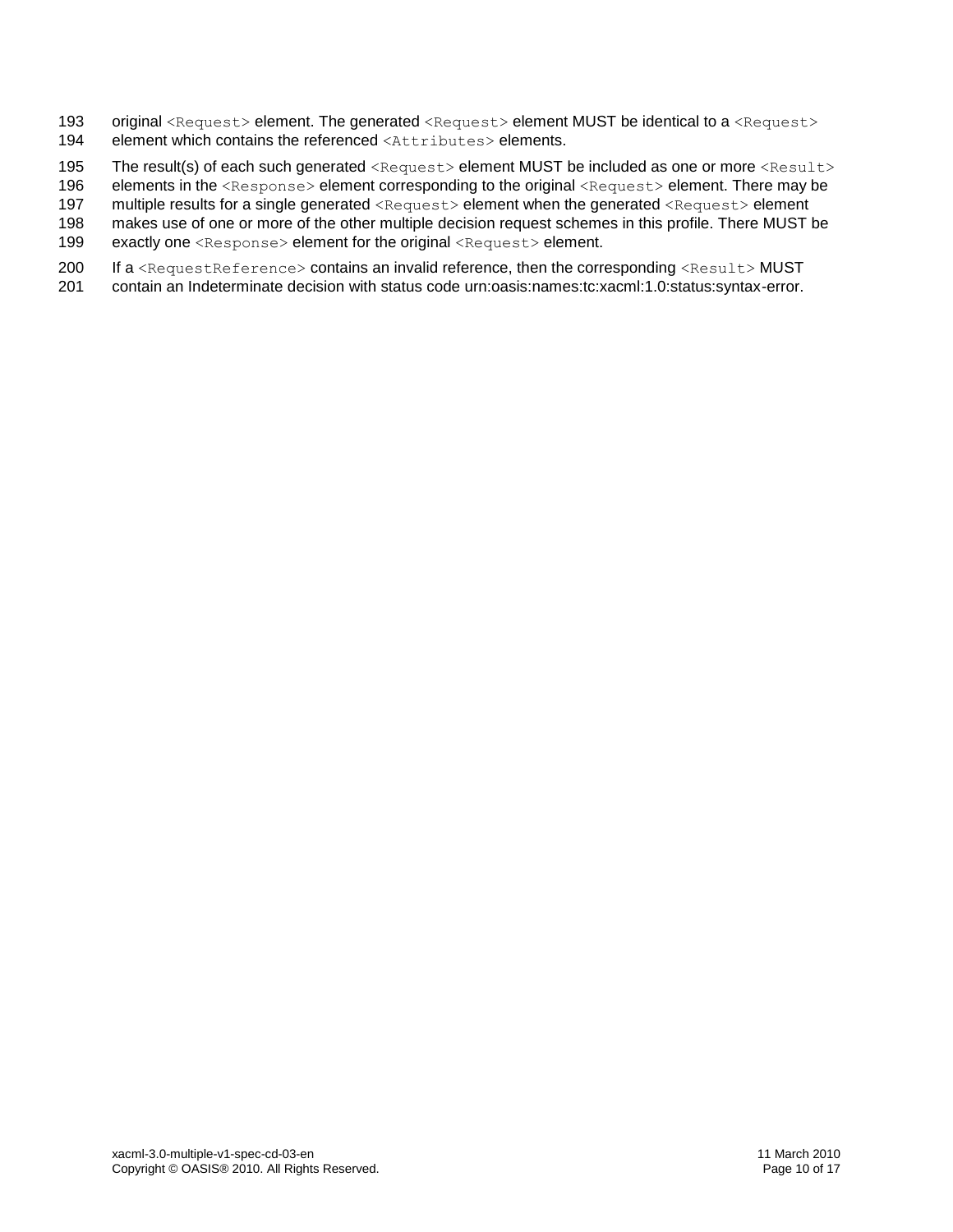- 193 original <Request> element. The generated <Request> element MUST be identical to a <Request> 194 element which contains the referenced <Attributes> elements.
- 195 The result(s) of each such generated <Request> element MUST be included as one or more <Result>
- 196 elements in the <Response> element corresponding to the original <Request> element. There may be
- 197 multiple results for a single generated <Request> element when the generated <Request> element
- 198 makes use of one or more of the other multiple decision request schemes in this profile. There MUST be
- 199 exactly one <Response> element for the original <Request> element.
- 200 If a <RequestReference> contains an invalid reference, then the corresponding <Result> MUST
- 201 contain an Indeterminate decision with status code urn:oasis:names:tc:xacml:1.0:status:syntax-error.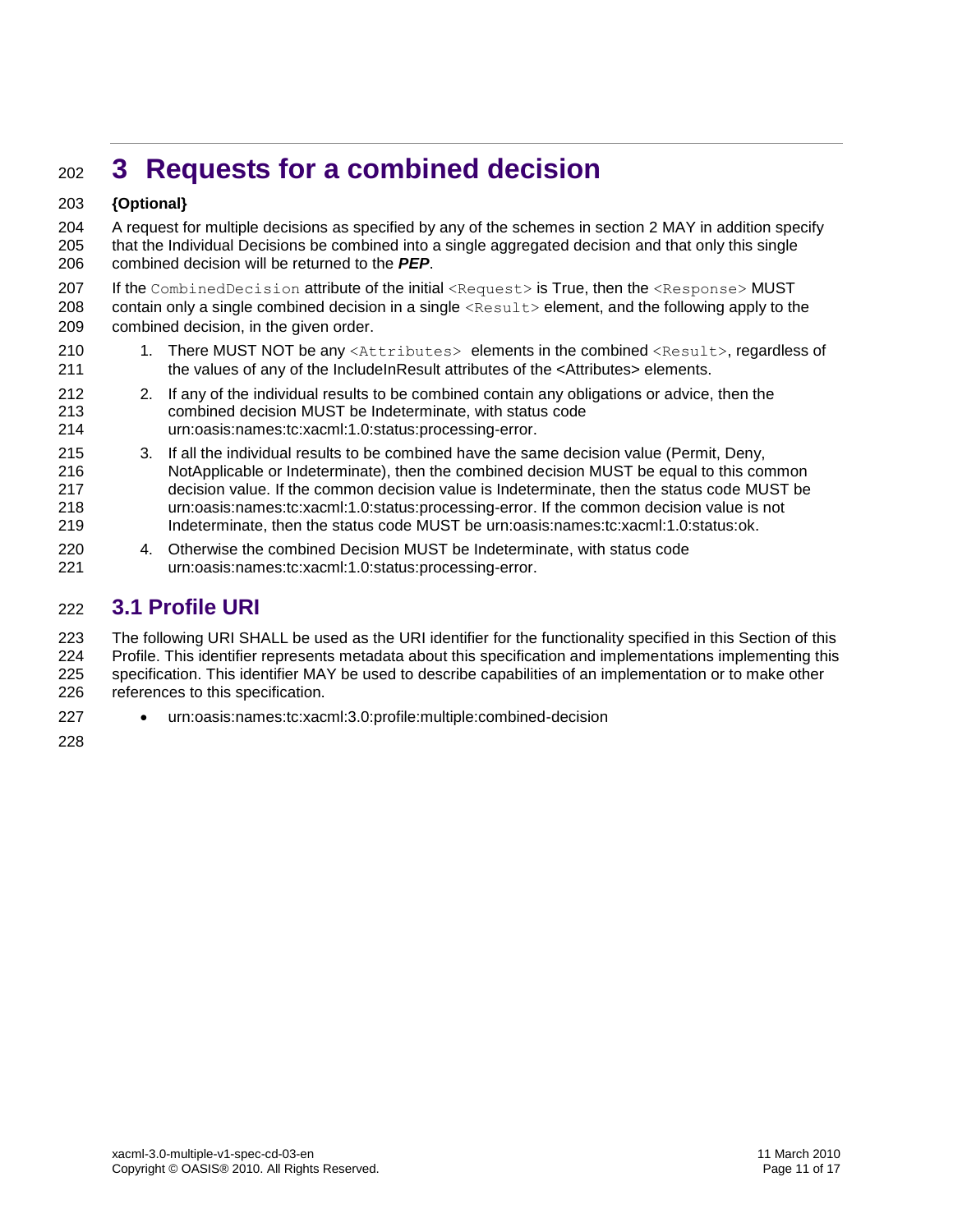# <span id="page-10-0"></span>**3 Requests for a combined decision**

#### **{Optional}**

 A request for multiple decisions as specified by any of the schemes in section [2](#page-6-0) MAY in addition specify that the Individual Decisions be combined into a single aggregated decision and that only this single combined decision will be returned to the *PEP*.

207 If the CombinedDecision attribute of the initial <Request> is True, then the <Response> MUST 208 contain only a single combined decision in a single  $\leq$ Result  $\geq$  element, and the following apply to the combined decision, in the given order.

- 210 1. There MUST NOT be any <Attributes> elements in the combined <Result>, regardless of the values of any of the IncludeInResult attributes of the <Attributes> elements.
- 2. If any of the individual results to be combined contain any obligations or advice, then the combined decision MUST be Indeterminate, with status code urn:oasis:names:tc:xacml:1.0:status:processing-error.
- 3. If all the individual results to be combined have the same decision value (Permit, Deny, NotApplicable or Indeterminate), then the combined decision MUST be equal to this common decision value. If the common decision value is Indeterminate, then the status code MUST be urn:oasis:names:tc:xacml:1.0:status:processing-error. If the common decision value is not Indeterminate, then the status code MUST be urn:oasis:names:tc:xacml:1.0:status:ok.
- 4. Otherwise the combined Decision MUST be Indeterminate, with status code urn:oasis:names:tc:xacml:1.0:status:processing-error.

# <span id="page-10-1"></span>**3.1 Profile URI**

 The following URI SHALL be used as the URI identifier for the functionality specified in this Section of this Profile. This identifier represents metadata about this specification and implementations implementing this specification. This identifier MAY be used to describe capabilities of an implementation or to make other references to this specification.

urn:oasis:names:tc:xacml:3.0:profile:multiple:combined-decision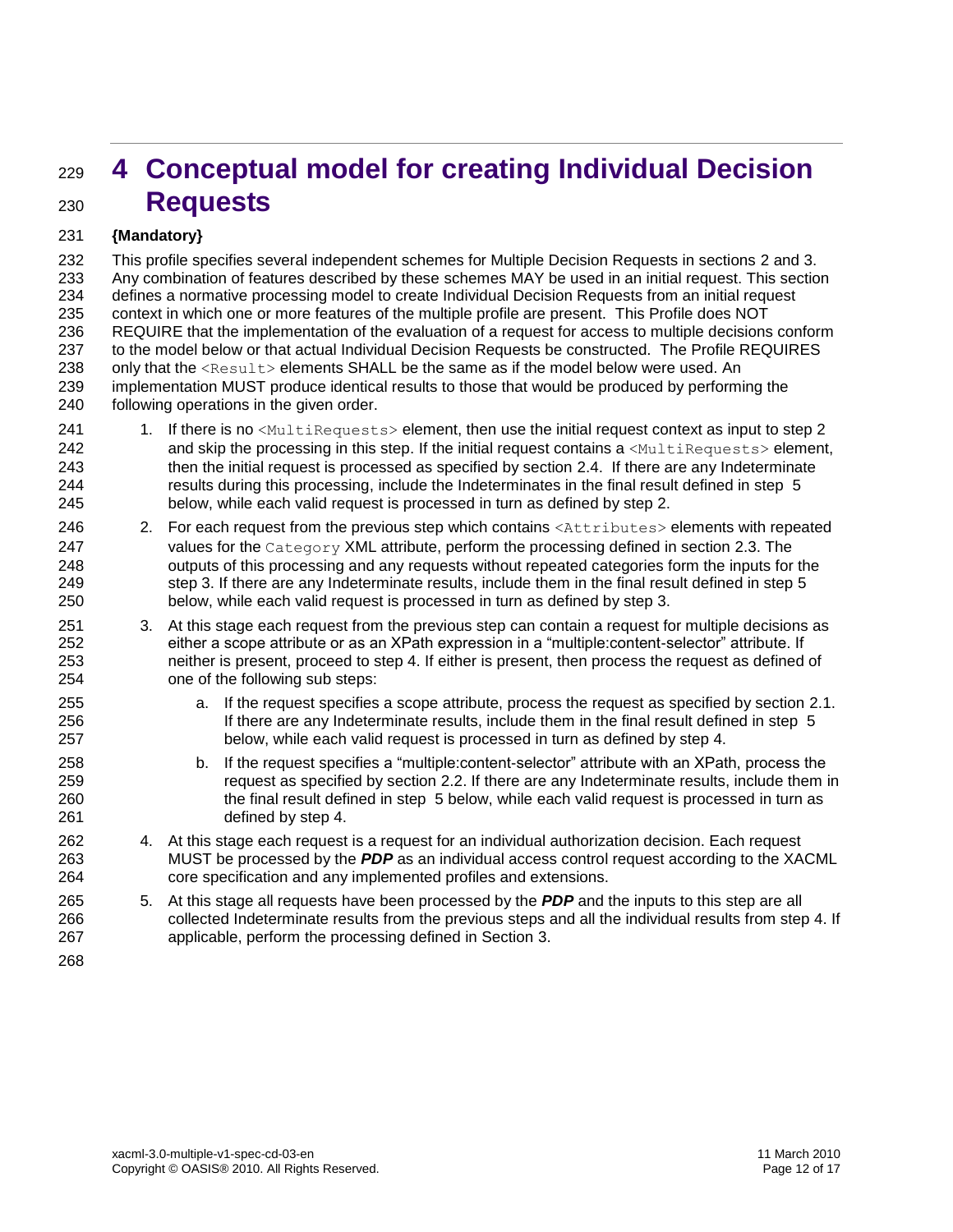# <span id="page-11-0"></span> **4 Conceptual model for creating Individual Decision Requests**

#### **{Mandatory}**

 This profile specifies several independent schemes for Multiple Decision Requests in sections [2](#page-6-0) and [3.](#page-10-0) Any combination of features described by these schemes MAY be used in an initial request. This section defines a normative processing model to create Individual Decision Requests from an initial request context in which one or more features of the multiple profile are present. This Profile does NOT REQUIRE that the implementation of the evaluation of a request for access to multiple decisions conform to the model below or that actual Individual Decision Requests be constructed. The Profile REQUIRES 238 only that the  $\langle Result\rangle$  elements SHALL be the same as if the model below were used. An implementation MUST produce identical results to those that would be produced by performing the following operations in the given order.

- 41 1. If there is no <MultiRequests> element, then use the initial request context as input to step 2 242 and skip the processing in this step. If the initial request contains a <MultiRequests> element, then the initial request is processed as specified by section [2.4.](#page-8-3) If there are any Indeterminate results during this processing, include the Indeterminates in the final result defined in step [5](#page-11-2) below, while each valid request is processed in turn as defined by step [2.](#page-11-1)
- <span id="page-11-1"></span>246 2. For each request from the previous step which contains <Attributes> elements with repeated 247 values for the Category XML attribute, perform the processing defined in section [2.3.](#page-7-4) The outputs of this processing and any requests without repeated categories form the inputs for the 249 step [3.](#page-11-3) If there are any Indeterminate results, include them in the final result defined in step [5](#page-11-2) below, while each valid request is processed in turn as defined by step [3.](#page-11-3)
- <span id="page-11-3"></span> 3. At this stage each request from the previous step can contain a request for multiple decisions as either a scope attribute or as an XPath expression in a "multiple:content-selector" attribute. If neither is present, proceed to step [4.](#page-11-4) If either is present, then process the request as defined of one of the following sub steps:
- a. If the request specifies a scope attribute, process the request as specified by section [2.1.](#page-6-1) If there are any Indeterminate results, include them in the final result defined in step [5](#page-11-2) below, while each valid request is processed in turn as defined by step [4.](#page-11-4)
- b. If the request specifies a "multiple:content-selector" attribute with an XPath, process the request as specified by section [2.2.](#page-7-0) If there are any Indeterminate results, include them in the final result defined in step [5](#page-11-2) below, while each valid request is processed in turn as defined by step [4.](#page-11-4)
- <span id="page-11-4"></span> 4. At this stage each request is a request for an individual authorization decision. Each request MUST be processed by the *PDP* as an individual access control request according to the XACML core specification and any implemented profiles and extensions.
- <span id="page-11-2"></span> 5. At this stage all requests have been processed by the *PDP* and the inputs to this step are all collected Indeterminate results from the previous steps and all the individual results from step [4.](#page-11-4) If applicable, perform the processing defined in Section [3.](#page-10-0)
-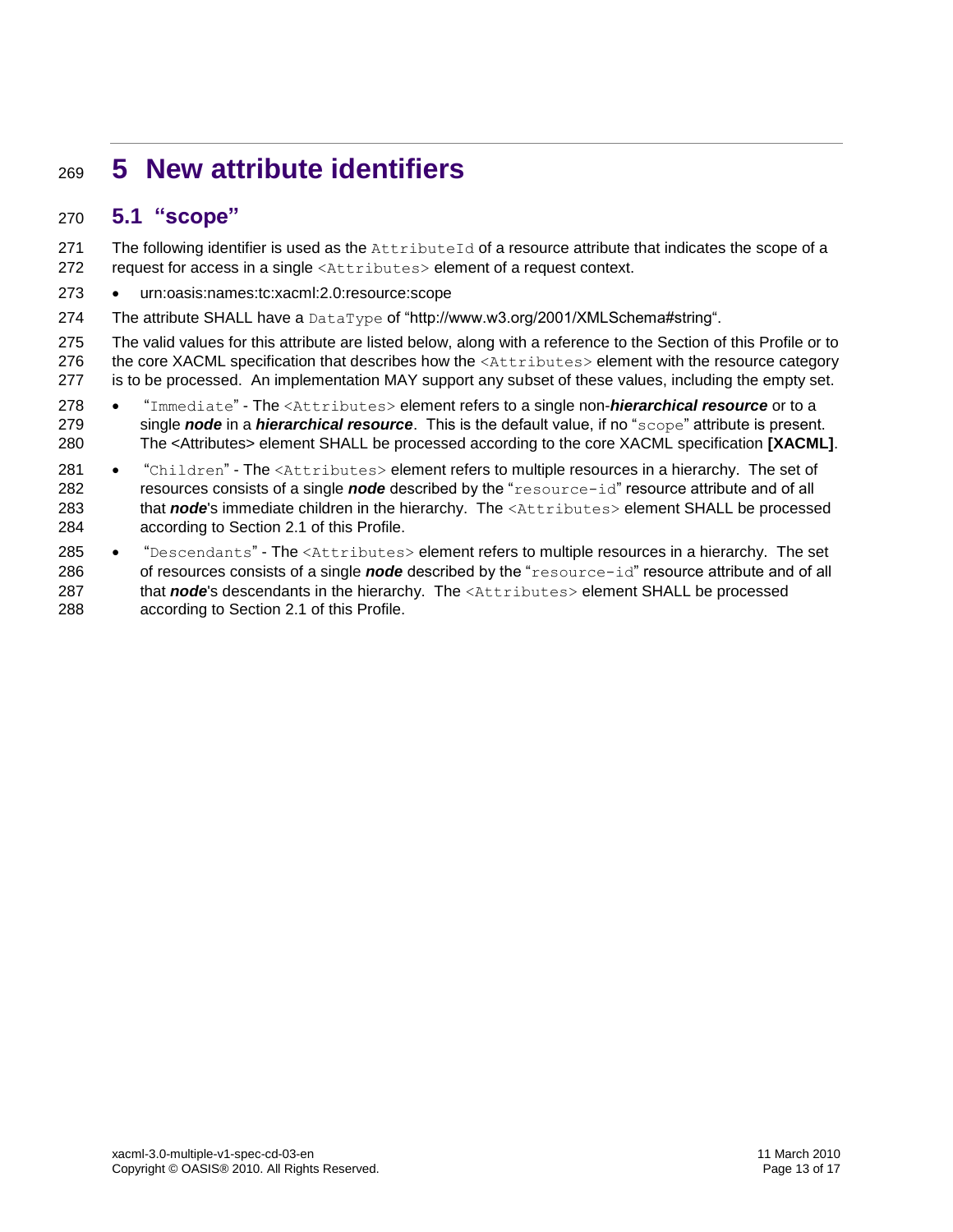# <span id="page-12-0"></span><sup>269</sup> **5 New attribute identifiers**

# <span id="page-12-1"></span>270 **5.1 "scope"**

271 The following identifier is used as the AttributeId of a resource attribute that indicates the scope of a 272 request for access in a single <Attributes> element of a request context.

- 273 urn:oasis:names:tc:xacml:2.0:resource:scope
- 274 The attribute SHALL have a DataType of "http://www.w3.org/2001/XMLSchema#string".

275 The valid values for this attribute are listed below, along with a reference to the Section of this Profile or to 276 the core XACML specification that describes how the <Attributes> element with the resource category 277 is to be processed. An implementation MAY support any subset of these values, including the empty set.

- 278 **.** "Immediate" The <Attributes> element refers to a single non-*hierarchical resource* or to a 279 single *node* in a *hierarchical resource*. This is the default value, if no "scope" attribute is present. 280 The <Attributes> element SHALL be processed according to the core XACML specification **[\[XACML\]](#page-5-3)**.
- 281 . "Children" The <Attributes> element refers to multiple resources in a hierarchy. The set of 282 resources consists of a single *node* described by the "resource-id" resource attribute and of all 283 that *node*'s immediate children in the hierarchy. The <Attributes> element SHALL be processed 284 according to Section [2.1](#page-6-1) of this Profile.
- 285 "Descendants" The <Attributes> element refers to multiple resources in a hierarchy. The set 286 of resources consists of a single **node** described by the "resource-id" resource attribute and of all 287 that *node*'s descendants in the hierarchy. The <Attributes> element SHALL be processed 288 according to Section [2.1](#page-6-1) of this Profile.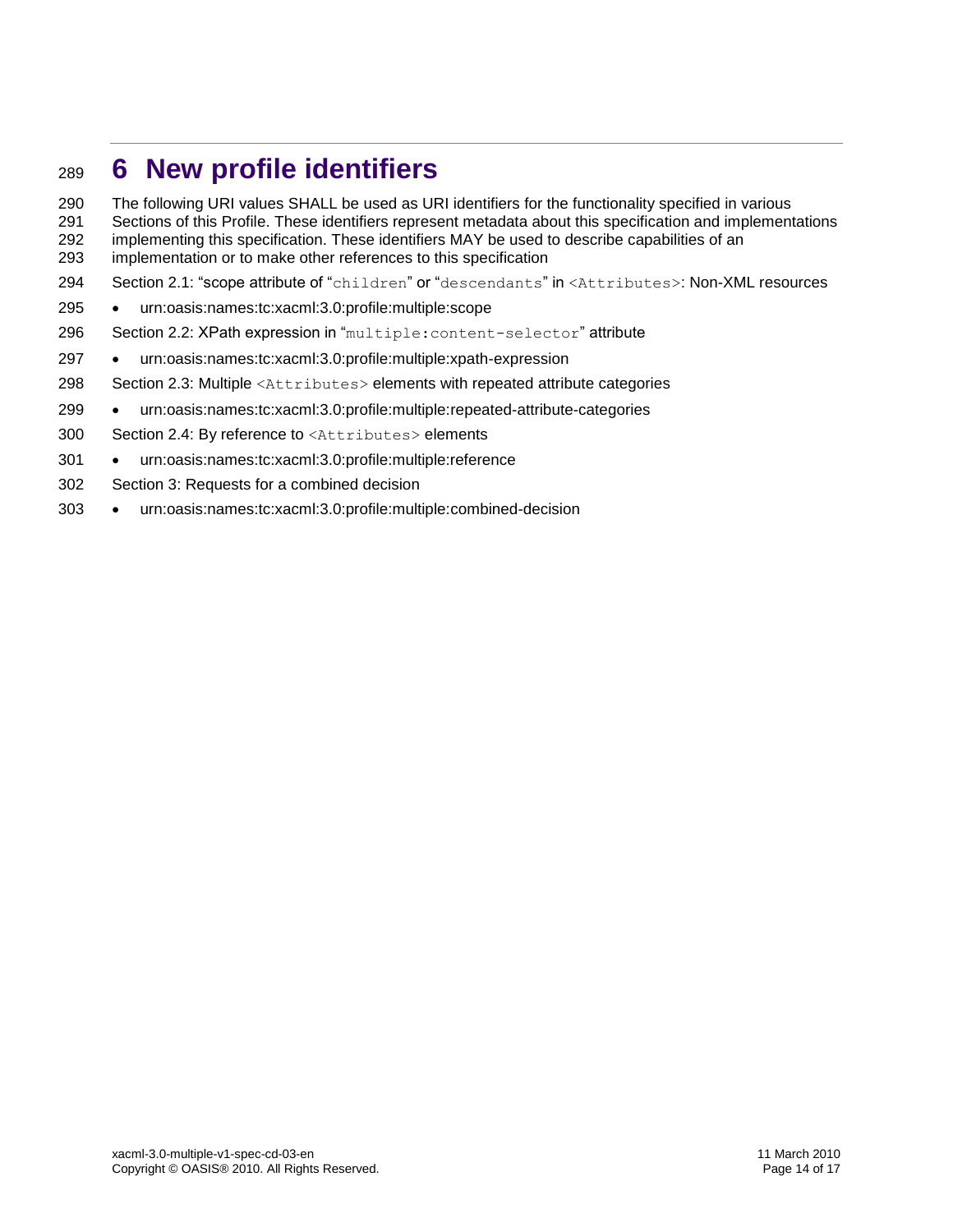# <span id="page-13-0"></span>**6 New profile identifiers**

 The following URI values SHALL be used as URI identifiers for the functionality specified in various 291 Sections of this Profile. These identifiers represent metadata about this specification and implementations 292 implementations and implementations

- implementing this specification. These identifiers MAY be used to describe capabilities of an implementation or to make other references to this specification
- 294 Section [2.1:](#page-6-1) "scope attribute of "children" or "descendants" in <Attributes>: Non-XML resources
- urn:oasis:names:tc:xacml:3.0:profile:multiple:scope
- 296 Section [2.2:](#page-7-0) XPath expression in "multiple: content-selector" attribute
- urn:oasis:names:tc:xacml:3.0:profile:multiple:xpath-expression
- Section [2.3:](#page-7-4) Multiple <Attributes> elements with repeated attribute categories
- urn:oasis:names:tc:xacml:3.0:profile:multiple:repeated-attribute-categories
- Section [2.4:](#page-8-3) By reference to <Attributes> elements
- urn:oasis:names:tc:xacml:3.0:profile:multiple:reference
- Section [3:](#page-10-0) Requests for a combined decision
- urn:oasis:names:tc:xacml:3.0:profile:multiple:combined-decision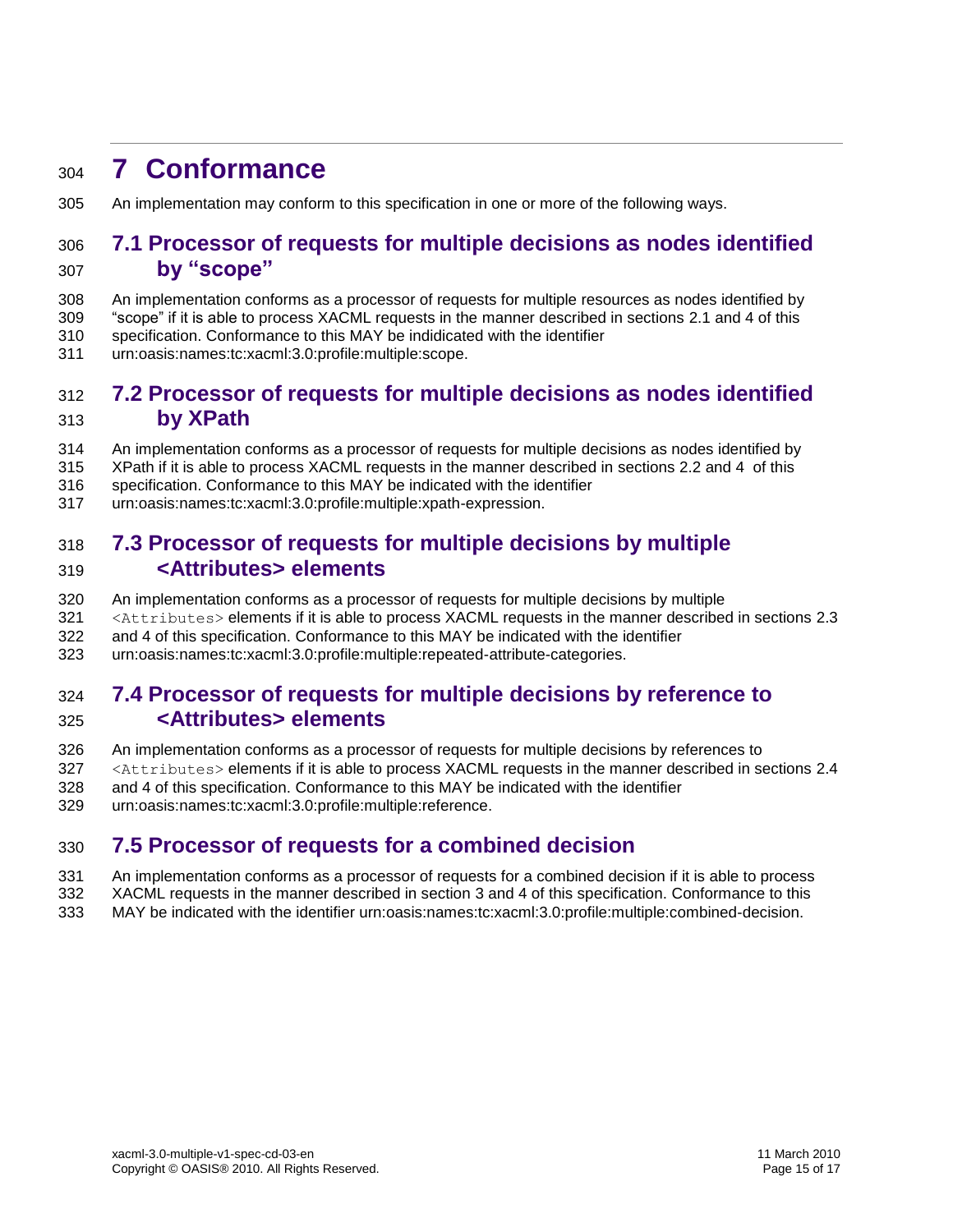# <span id="page-14-0"></span>**7 Conformance**

An implementation may conform to this specification in one or more of the following ways.

### <span id="page-14-1"></span> **7.1 Processor of requests for multiple decisions as nodes identified by "scope"**

- An implementation conforms as a processor of requests for multiple resources as nodes identified by
- "scope" if it is able to process XACML requests in the manner described in sections [2.1](#page-6-1) and [4](#page-11-0) of this
- specification. Conformance to this MAY be indidicated with the identifier
- urn:oasis:names:tc:xacml:3.0:profile:multiple:scope.

### <span id="page-14-2"></span> **7.2 Processor of requests for multiple decisions as nodes identified by XPath**

- An implementation conforms as a processor of requests for multiple decisions as nodes identified by
- XPath if it is able to process XACML requests in the manner described in sections [2.2](#page-7-0) and [4](#page-11-0) of this
- specification. Conformance to this MAY be indicated with the identifier
- urn:oasis:names:tc:xacml:3.0:profile:multiple:xpath-expression.

# <span id="page-14-3"></span> **7.3 Processor of requests for multiple decisions by multiple <Attributes> elements**

- An implementation conforms as a processor of requests for multiple decisions by multiple
- 321 <Attributes> elements if it is able to process XACML requests in the manner described in sections [2.3](#page-7-4)
- and [4](#page-11-0) of this specification. Conformance to this MAY be indicated with the identifier
- urn:oasis:names:tc:xacml:3.0:profile:multiple:repeated-attribute-categories.

## <span id="page-14-4"></span> **7.4 Processor of requests for multiple decisions by reference to <Attributes> elements**

- An implementation conforms as a processor of requests for multiple decisions by references to
- <Attributes> elements if it is able to process XACML requests in the manner described in sections [2.4](#page-8-3)
- and [4](#page-11-0) of this specification. Conformance to this MAY be indicated with the identifier
- urn:oasis:names:tc:xacml:3.0:profile:multiple:reference.

### <span id="page-14-5"></span>**7.5 Processor of requests for a combined decision**

- An implementation conforms as a processor of requests for a combined decision if it is able to process XACML requests in the manner described in section [3](#page-10-0) and [4](#page-11-0) of this specification. Conformance to this
- MAY be indicated with the identifier urn:oasis:names:tc:xacml:3.0:profile:multiple:combined-decision.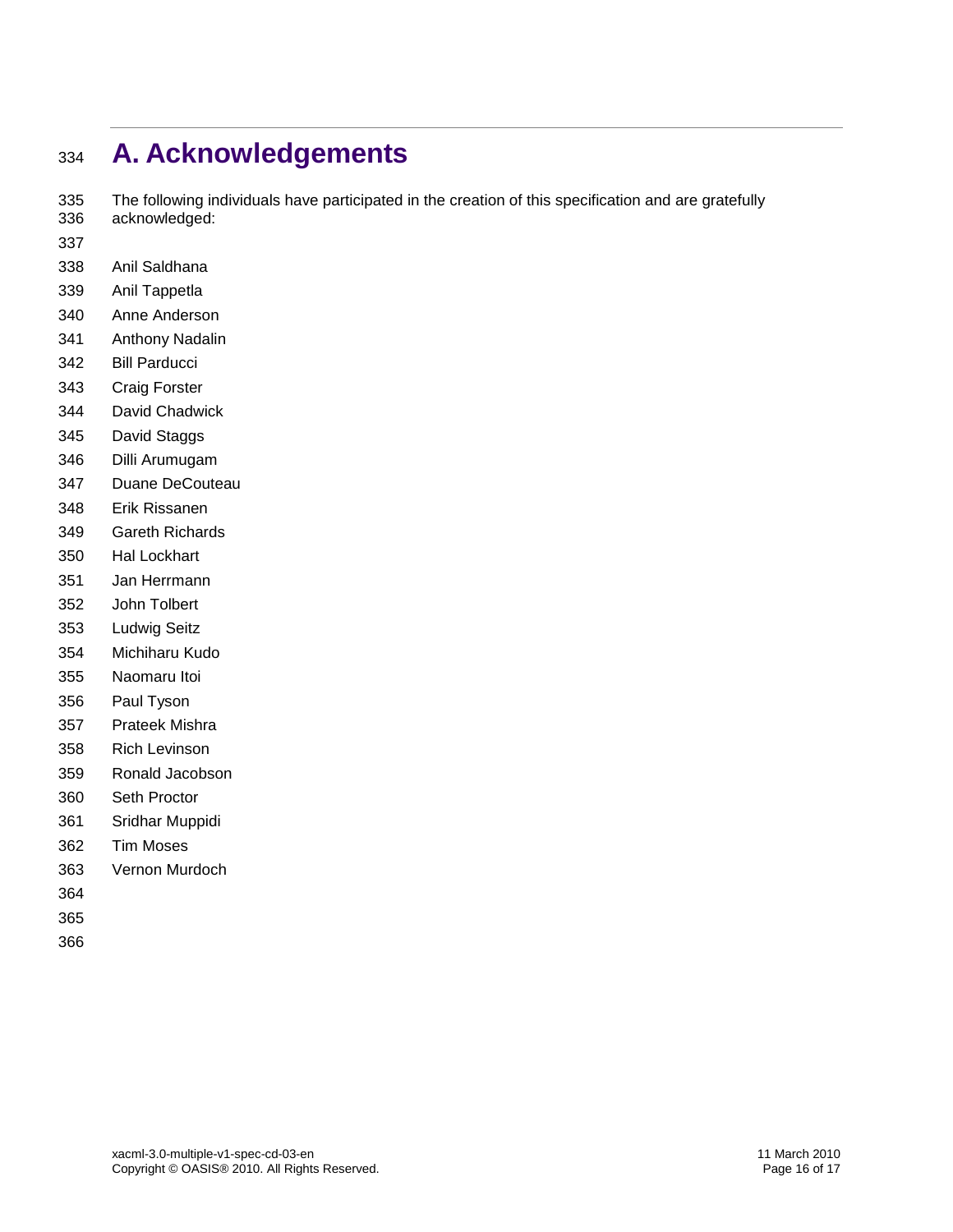# <span id="page-15-0"></span>**A. Acknowledgements**

 The following individuals have participated in the creation of this specification and are gratefully acknowledged:

- 
- Anil Saldhana
- Anil Tappetla
- Anne Anderson
- Anthony Nadalin
- Bill Parducci
- Craig Forster
- David Chadwick
- David Staggs
- Dilli Arumugam
- Duane DeCouteau
- Erik Rissanen
- Gareth Richards
- Hal Lockhart
- Jan Herrmann
- John Tolbert
- Ludwig Seitz
- Michiharu Kudo
- Naomaru Itoi
- Paul Tyson
- Prateek Mishra
- Rich Levinson
- Ronald Jacobson
- Seth Proctor
- Sridhar Muppidi
- Tim Moses
- Vernon Murdoch
- 
- 
-